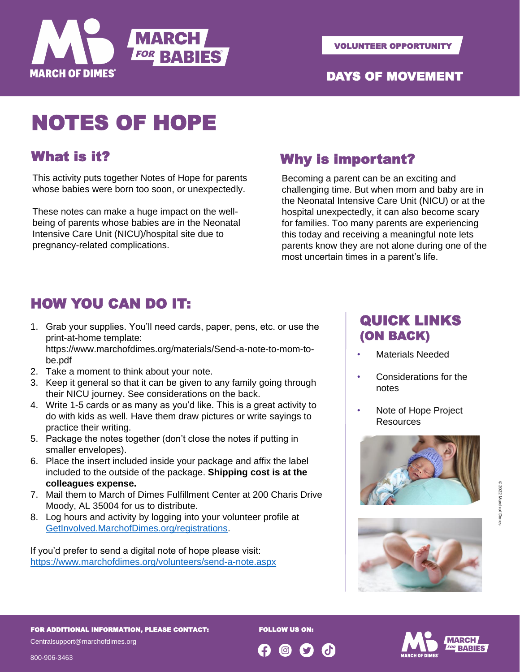

#### DAYS OF MOVEMENT

# NOTES OF HOPE

## What is it?

This activity puts together Notes of Hope for parents whose babies were born too soon, or unexpectedly.

These notes can make a huge impact on the wellbeing of parents whose babies are in the Neonatal Intensive Care Unit (NICU)/hospital site due to pregnancy-related complications.

#### Why is important?

Becoming a parent can be an exciting and challenging time. But when mom and baby are in the Neonatal Intensive Care Unit (NICU) or at the hospital unexpectedly, it can also become scary for families. Too many parents are experiencing this today and receiving a meaningful note lets parents know they are not alone during one of the most uncertain times in a parent's life.

## HOW YOU CAN DO IT:

1. Grab your supplies. You'll need cards, paper, pens, etc. or use the print-at-home template:

https://www.marchofdimes.org/materials/Send-a-note-to-mom-tobe.pdf

- 2. Take a moment to think about your note.
- 3. Keep it general so that it can be given to any family going through their NICU journey. See considerations on the back.
- 4. Write 1-5 cards or as many as you'd like. This is a great activity to do with kids as well. Have them draw pictures or write sayings to practice their writing.
- 5. Package the notes together (don't close the notes if putting in smaller envelopes).
- 6. Place the insert included inside your package and affix the label included to the outside of the package. **Shipping cost is at the colleagues expense.**
- 7. Mail them to March of Dimes Fulfillment Center at 200 Charis Drive Moody, AL 35004 for us to distribute.
- 8. Log hours and activity by logging into your volunteer profile at [GetInvolved.MarchofDimes.org/registrations](https://getinvolved.marchofdimes.org/registrations/).

If you'd prefer to send a digital note of hope please visit: <https://www.marchofdimes.org/volunteers/send-a-note.aspx>

#### QUICK LINKS (ON BACK)

- Materials Needed
- Considerations for the notes
- Note of Hope Project **Resources**







**FOLLOW US ON** 

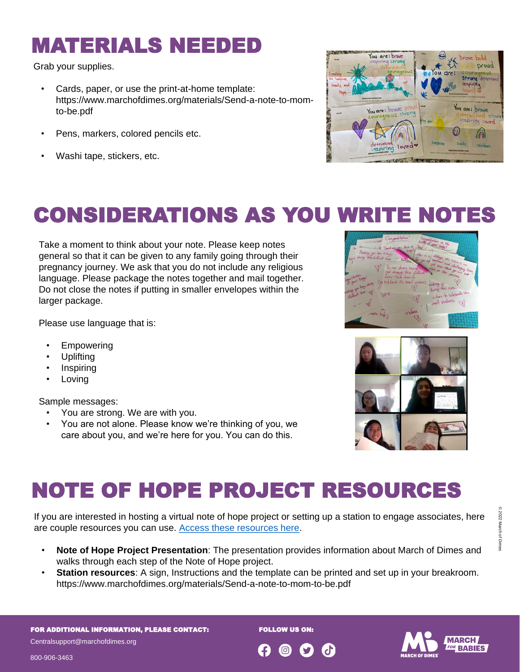## MATERIALS NEEDED

Grab your supplies.

- Cards, paper, or use the print-at-home template: https://www.marchofdimes.org/materials/Send-a-note-to-momto-be.pdf
- Pens, markers, colored pencils etc.
- Washi tape, stickers, etc.



# CONSIDERATIONS AS YOU WRITE NOTES

Take a moment to think about your note. Please keep notes general so that it can be given to any family going through their pregnancy journey. We ask that you do not include any religious language. Please package the notes together and mail together. Do not close the notes if putting in smaller envelopes within the larger package.

Please use language that is:

- **Empowering**
- Uplifting
- **Inspiring**
- **Loving**

Sample messages:

- You are strong. We are with you.
- You are not alone. Please know we're thinking of you, we care about you, and we're here for you. You can do this.



# NOTE OF HOPE PROJECT RESOURCES

If you are interested in hosting a virtual note of hope project or setting up a station to engage associates, here are couple resources you can use. [Access these resources here.](https://drive.google.com/drive/folders/1j__CwScM8_UNDSM2NGHayFR14FtpRr0k?usp=sharing)

- **Note of Hope Project Presentation**: The presentation provides information about March of Dimes and walks through each step of the Note of Hope project.
- **Station resources**: A sign, Instructions and the template can be printed and set up in your breakroom. https://www.marchofdimes.org/materials/Send-a-note-to-mom-to-be.pdf

FOR ADDITIONAL INFORMATION, PLEASE CONTACT:

**FOLLOW US ON** 



800-906-3463

Centralsupport@marchofdimes.org